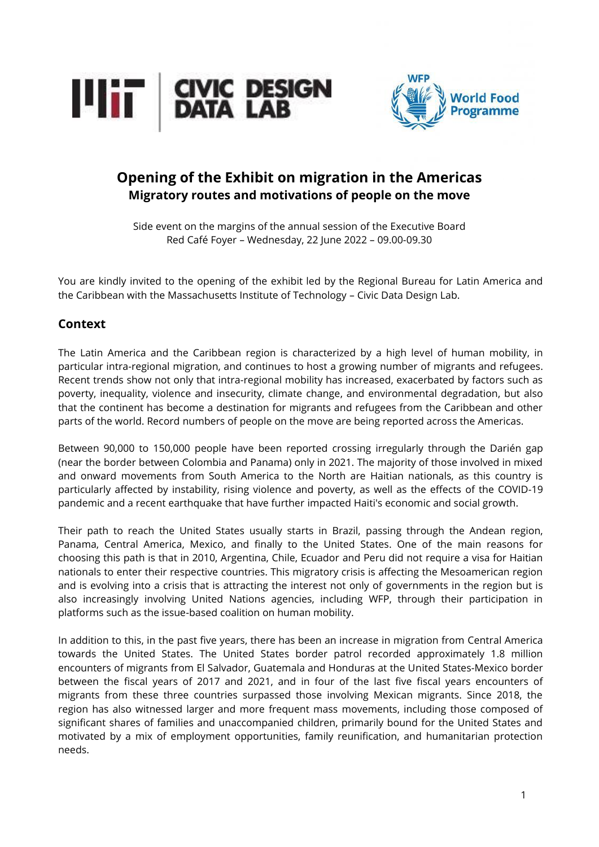



# **Opening of the Exhibit on migration in the Americas Migratory routes and motivations of people on the move**

Side event on the margins of the annual session of the Executive Board Red Café Foyer – Wednesday, 22 June 2022 – 09.00-09.30

You are kindly invited to the opening of the exhibit led by the Regional Bureau for Latin America and the Caribbean with the Massachusetts Institute of Technology – Civic Data Design Lab.

### **Context**

The Latin America and the Caribbean region is characterized by a high level of human mobility, in particular intra-regional migration, and continues to host a growing number of migrants and refugees. Recent trends show not only that intra-regional mobility has increased, exacerbated by factors such as poverty, inequality, violence and insecurity, climate change, and environmental degradation, but also that the continent has become a destination for migrants and refugees from the Caribbean and other parts of the world. Record numbers of people on the move are being reported across the Americas.

Between 90,000 to 150,000 people have been reported crossing irregularly through the Darién gap (near the border between Colombia and Panama) only in 2021. The majority of those involved in mixed and onward movements from South America to the North are Haitian nationals, as this country is particularly affected by instability, rising violence and poverty, as well as the effects of the COVID-19 pandemic and a recent earthquake that have further impacted Haiti's economic and social growth.

Their path to reach the United States usually starts in Brazil, passing through the Andean region, Panama, Central America, Mexico, and finally to the United States. One of the main reasons for choosing this path is that in 2010, Argentina, Chile, Ecuador and Peru did not require a visa for Haitian nationals to enter their respective countries. This migratory crisis is affecting the Mesoamerican region and is evolving into a crisis that is attracting the interest not only of governments in the region but is also increasingly involving United Nations agencies, including WFP, through their participation in platforms such as the issue-based coalition on human mobility.

In addition to this, in the past five years, there has been an increase in migration from Central America towards the United States. The United States border patrol recorded approximately 1.8 million encounters of migrants from El Salvador, Guatemala and Honduras at the United States-Mexico border between the fiscal years of 2017 and 2021, and in four of the last five fiscal years encounters of migrants from these three countries surpassed those involving Mexican migrants. Since 2018, the region has also witnessed larger and more frequent mass movements, including those composed of significant shares of families and unaccompanied children, primarily bound for the United States and motivated by a mix of employment opportunities, family reunification, and humanitarian protection needs.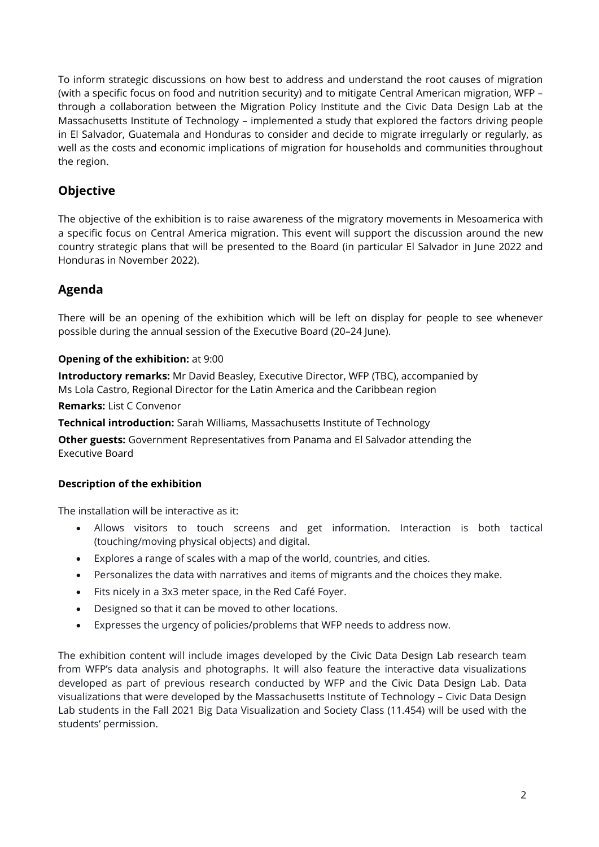To inform strategic discussions on how best to address and understand the root causes of migration (with a specific focus on food and nutrition security) and to mitigate Central American migration, WFP – through a collaboration between the Migration Policy Institute and the Civic Data Design Lab at the Massachusetts Institute of Technology – implemented a study that explored the factors driving people in El Salvador, Guatemala and Honduras to consider and decide to migrate irregularly or regularly, as well as the costs and economic implications of migration for households and communities throughout the region.

### **Objective**

The objective of the exhibition is to raise awareness of the migratory movements in Mesoamerica with a specific focus on Central America migration. This event will support the discussion around the new country strategic plans that will be presented to the Board (in particular El Salvador in June 2022 and Honduras in November 2022).

### **Agenda**

There will be an opening of the exhibition which will be left on display for people to see whenever possible during the annual session of the Executive Board (20–24 June).

#### **Opening of the exhibition:** at 9:00

**Introductory remarks:** Mr David Beasley, Executive Director, WFP (TBC), accompanied by Ms Lola Castro, Regional Director for the Latin America and the Caribbean region

#### **Remarks:** List C Convenor

**Technical introduction:** Sarah Williams, Massachusetts Institute of Technology

**Other guests:** Government Representatives from Panama and El Salvador attending the Executive Board

#### **Description of the exhibition**

The installation will be interactive as it:

- Allows visitors to touch screens and get information. Interaction is both tactical (touching/moving physical objects) and digital.
- Explores a range of scales with a map of the world, countries, and cities.
- Personalizes the data with narratives and items of migrants and the choices they make.
- Fits nicely in a 3x3 meter space, in the Red Café Foyer.
- Designed so that it can be moved to other locations.
- Expresses the urgency of policies/problems that WFP needs to address now.

The exhibition content will include images developed by the Civic Data Design Lab research team from WFP's data analysis and photographs. It will also feature the interactive data visualizations developed as part of previous research conducted by WFP and the Civic Data Design Lab. Data visualizations that were developed by the Massachusetts Institute of Technology – Civic Data Design Lab students in the Fall 2021 Big Data Visualization and Society Class (11.454) will be used with the students' permission.